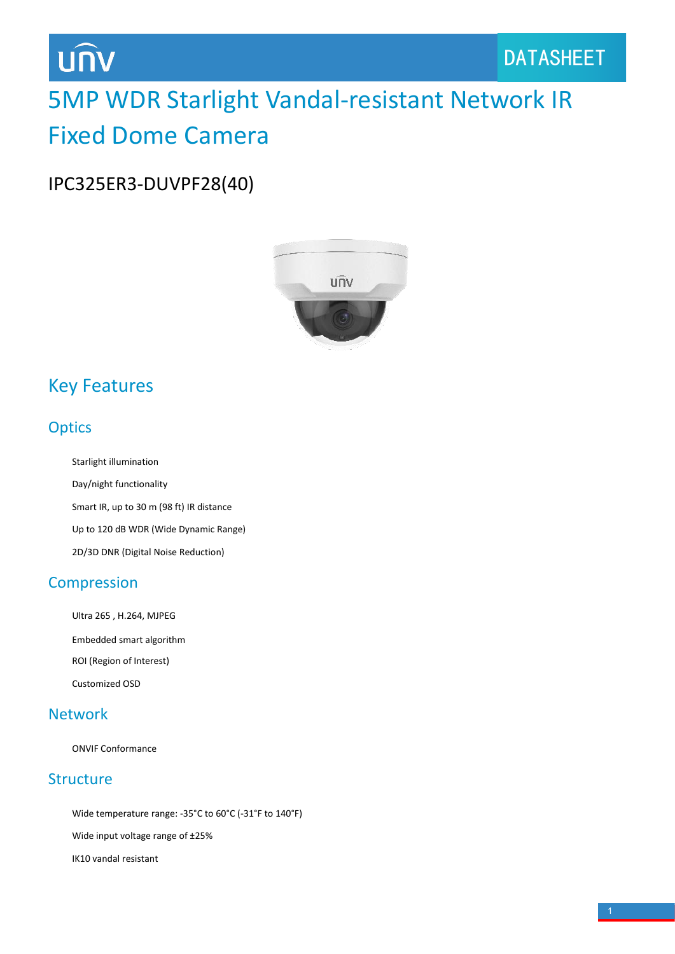# UNV

# 5MP WDR Starlight Vandal-resistant Network IR Fixed Dome Camera

IPC325ER3-DUVPF28(40)



### Key Features

### **Optics**

Starlight illumination Day/night functionality Smart IR, up to 30 m (98 ft) IR distance Up to 120 dB WDR (Wide Dynamic Range) 2D/3D DNR (Digital Noise Reduction)

### Compression

Ultra 265 , H.264, MJPEG Embedded smart algorithm ROI (Region of Interest) Customized OSD

### Network

ONVIF Conformance

### Structure

Wide temperature range: -35°C to 60°C (-31°F to 140°F) Wide input voltage range of ±25% IK10 vandal resistant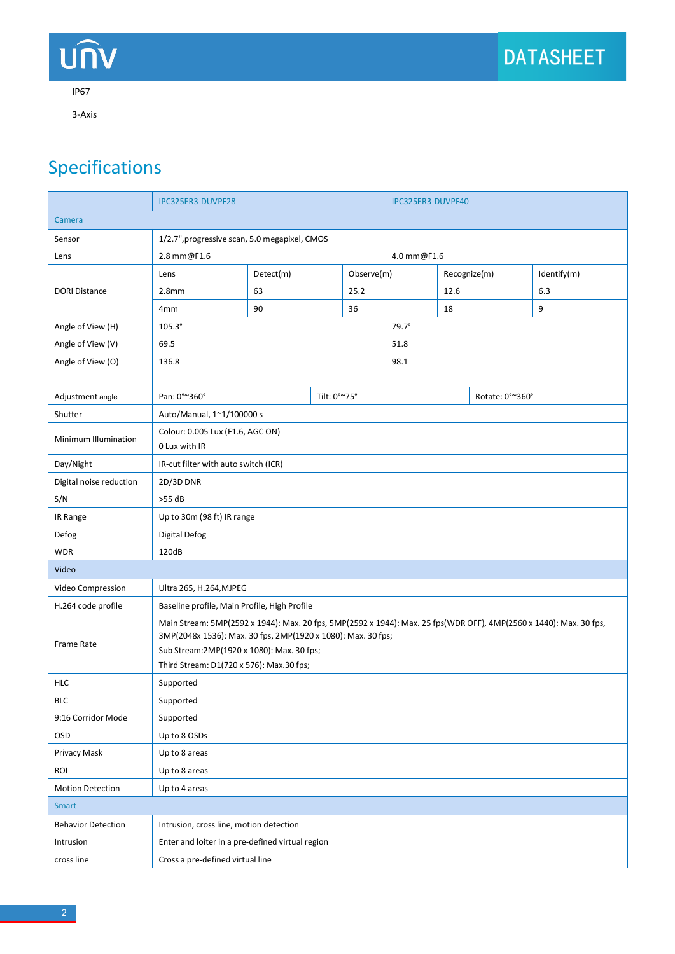# DATASHEET

#### IP67

UN

3-Axis

## Specifications

|                           | IPC325ER3-DUVPF28                                                                                                                                                                                                                                                             |                                                  |              | IPC325ER3-DUVPF40 |              |      |                 |             |  |
|---------------------------|-------------------------------------------------------------------------------------------------------------------------------------------------------------------------------------------------------------------------------------------------------------------------------|--------------------------------------------------|--------------|-------------------|--------------|------|-----------------|-------------|--|
| Camera                    |                                                                                                                                                                                                                                                                               |                                                  |              |                   |              |      |                 |             |  |
| Sensor                    | 1/2.7", progressive scan, 5.0 megapixel, CMOS                                                                                                                                                                                                                                 |                                                  |              |                   |              |      |                 |             |  |
| Lens                      | 2.8 mm@F1.6                                                                                                                                                                                                                                                                   |                                                  |              | 4.0 mm@F1.6       |              |      |                 |             |  |
| <b>DORI Distance</b>      | Lens                                                                                                                                                                                                                                                                          | Detect(m)                                        |              | Observe(m)        |              |      | Recognize(m)    | Identify(m) |  |
|                           | 2.8 <sub>mm</sub>                                                                                                                                                                                                                                                             | 63                                               |              | 25.2              |              | 12.6 |                 | 6.3         |  |
|                           | 4 <sub>mm</sub>                                                                                                                                                                                                                                                               | 90                                               |              | 36                |              | 18   |                 | 9           |  |
| Angle of View (H)         | $105.3^\circ$                                                                                                                                                                                                                                                                 |                                                  |              |                   | $79.7^\circ$ |      |                 |             |  |
| Angle of View (V)         | 69.5                                                                                                                                                                                                                                                                          |                                                  |              | 51.8              |              |      |                 |             |  |
| Angle of View (O)         | 136.8                                                                                                                                                                                                                                                                         |                                                  |              |                   | 98.1         |      |                 |             |  |
|                           |                                                                                                                                                                                                                                                                               |                                                  |              |                   |              |      |                 |             |  |
| Adjustment angle          | Pan: 0°~360°                                                                                                                                                                                                                                                                  |                                                  | Tilt: 0°~75° |                   |              |      | Rotate: 0°~360° |             |  |
| Shutter                   | Auto/Manual, 1~1/100000 s                                                                                                                                                                                                                                                     |                                                  |              |                   |              |      |                 |             |  |
| Minimum Illumination      | Colour: 0.005 Lux (F1.6, AGC ON)<br>0 Lux with IR                                                                                                                                                                                                                             |                                                  |              |                   |              |      |                 |             |  |
| Day/Night                 | IR-cut filter with auto switch (ICR)                                                                                                                                                                                                                                          |                                                  |              |                   |              |      |                 |             |  |
| Digital noise reduction   | 2D/3D DNR                                                                                                                                                                                                                                                                     |                                                  |              |                   |              |      |                 |             |  |
| S/N                       | $>55$ dB                                                                                                                                                                                                                                                                      |                                                  |              |                   |              |      |                 |             |  |
| IR Range                  | Up to 30m (98 ft) IR range                                                                                                                                                                                                                                                    |                                                  |              |                   |              |      |                 |             |  |
| Defog                     | Digital Defog                                                                                                                                                                                                                                                                 |                                                  |              |                   |              |      |                 |             |  |
| <b>WDR</b>                | 120dB                                                                                                                                                                                                                                                                         |                                                  |              |                   |              |      |                 |             |  |
| Video                     |                                                                                                                                                                                                                                                                               |                                                  |              |                   |              |      |                 |             |  |
| Video Compression         | Ultra 265, H.264, MJPEG                                                                                                                                                                                                                                                       |                                                  |              |                   |              |      |                 |             |  |
| H.264 code profile        | Baseline profile, Main Profile, High Profile                                                                                                                                                                                                                                  |                                                  |              |                   |              |      |                 |             |  |
| Frame Rate                | Main Stream: 5MP(2592 x 1944): Max. 20 fps, 5MP(2592 x 1944): Max. 25 fps(WDR OFF), 4MP(2560 x 1440): Max. 30 fps,<br>3MP(2048x 1536): Max. 30 fps, 2MP(1920 x 1080): Max. 30 fps;<br>Sub Stream: 2MP (1920 x 1080): Max. 30 fps;<br>Third Stream: D1(720 x 576): Max.30 fps; |                                                  |              |                   |              |      |                 |             |  |
| <b>HLC</b>                | Supported                                                                                                                                                                                                                                                                     |                                                  |              |                   |              |      |                 |             |  |
| <b>BLC</b>                | Supported                                                                                                                                                                                                                                                                     |                                                  |              |                   |              |      |                 |             |  |
| 9:16 Corridor Mode        | Supported                                                                                                                                                                                                                                                                     |                                                  |              |                   |              |      |                 |             |  |
| <b>OSD</b>                | Up to 8 OSDs                                                                                                                                                                                                                                                                  |                                                  |              |                   |              |      |                 |             |  |
| Privacy Mask              | Up to 8 areas                                                                                                                                                                                                                                                                 |                                                  |              |                   |              |      |                 |             |  |
| ROI                       | Up to 8 areas                                                                                                                                                                                                                                                                 |                                                  |              |                   |              |      |                 |             |  |
| <b>Motion Detection</b>   | Up to 4 areas                                                                                                                                                                                                                                                                 |                                                  |              |                   |              |      |                 |             |  |
| Smart                     |                                                                                                                                                                                                                                                                               |                                                  |              |                   |              |      |                 |             |  |
| <b>Behavior Detection</b> | Intrusion, cross line, motion detection                                                                                                                                                                                                                                       |                                                  |              |                   |              |      |                 |             |  |
| Intrusion                 |                                                                                                                                                                                                                                                                               | Enter and loiter in a pre-defined virtual region |              |                   |              |      |                 |             |  |
| cross line                | Cross a pre-defined virtual line                                                                                                                                                                                                                                              |                                                  |              |                   |              |      |                 |             |  |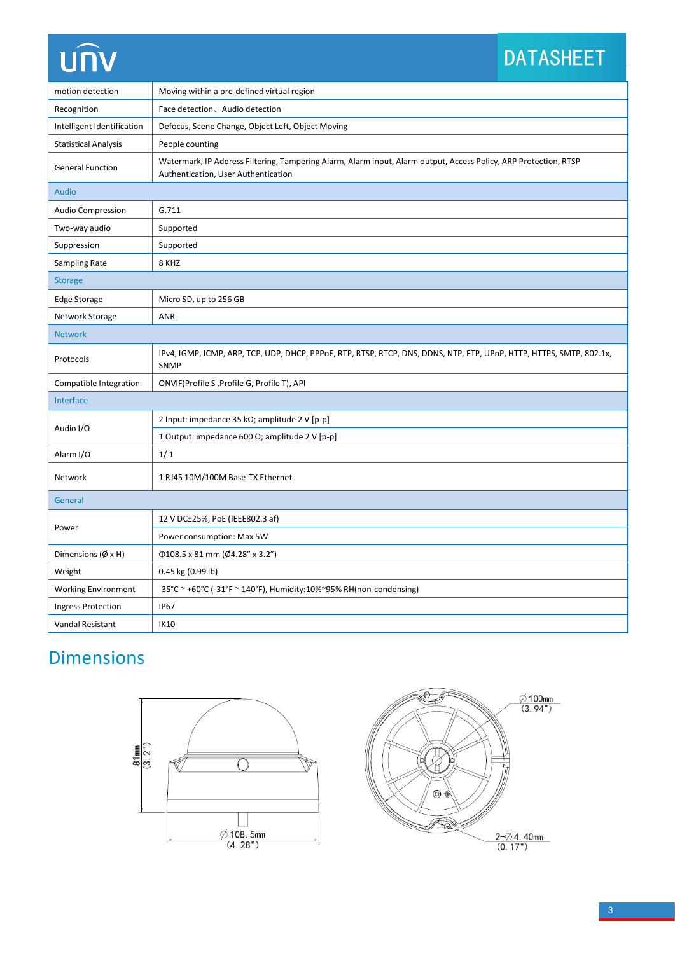# **UNV**

# DATASHEET

| motion detection              | Moving within a pre-defined virtual region                                                                                                              |  |  |  |  |  |
|-------------------------------|---------------------------------------------------------------------------------------------------------------------------------------------------------|--|--|--|--|--|
| Recognition                   | Face detection、Audio detection                                                                                                                          |  |  |  |  |  |
| Intelligent Identification    | Defocus, Scene Change, Object Left, Object Moving                                                                                                       |  |  |  |  |  |
| <b>Statistical Analysis</b>   | People counting                                                                                                                                         |  |  |  |  |  |
| <b>General Function</b>       | Watermark, IP Address Filtering, Tampering Alarm, Alarm input, Alarm output, Access Policy, ARP Protection, RTSP<br>Authentication, User Authentication |  |  |  |  |  |
| Audio                         |                                                                                                                                                         |  |  |  |  |  |
| <b>Audio Compression</b>      | G.711                                                                                                                                                   |  |  |  |  |  |
| Two-way audio                 | Supported                                                                                                                                               |  |  |  |  |  |
| Suppression                   | Supported                                                                                                                                               |  |  |  |  |  |
| Sampling Rate                 | 8 KHZ                                                                                                                                                   |  |  |  |  |  |
| <b>Storage</b>                |                                                                                                                                                         |  |  |  |  |  |
| <b>Edge Storage</b>           | Micro SD, up to 256 GB                                                                                                                                  |  |  |  |  |  |
| Network Storage               | ANR                                                                                                                                                     |  |  |  |  |  |
| <b>Network</b>                |                                                                                                                                                         |  |  |  |  |  |
| Protocols                     | IPv4, IGMP, ICMP, ARP, TCP, UDP, DHCP, PPPoE, RTP, RTSP, RTCP, DNS, DDNS, NTP, FTP, UPnP, HTTP, HTTPS, SMTP, 802.1x,<br><b>SNMP</b>                     |  |  |  |  |  |
| Compatible Integration        | ONVIF(Profile S, Profile G, Profile T), API                                                                                                             |  |  |  |  |  |
| Interface                     |                                                                                                                                                         |  |  |  |  |  |
| Audio I/O                     | 2 Input: impedance 35 kΩ; amplitude 2 V [p-p]                                                                                                           |  |  |  |  |  |
|                               | 1 Output: impedance 600 $\Omega$ ; amplitude 2 V [p-p]                                                                                                  |  |  |  |  |  |
| Alarm I/O                     | 1/1                                                                                                                                                     |  |  |  |  |  |
| Network                       | 1 RJ45 10M/100M Base-TX Ethernet                                                                                                                        |  |  |  |  |  |
| General                       |                                                                                                                                                         |  |  |  |  |  |
| Power                         | 12 V DC±25%, PoE (IEEE802.3 af)                                                                                                                         |  |  |  |  |  |
|                               | Power consumption: Max 5W                                                                                                                               |  |  |  |  |  |
| Dimensions ( $\emptyset$ x H) | $\Phi$ 108.5 x 81 mm (Ø4.28" x 3.2")                                                                                                                    |  |  |  |  |  |
| Weight                        | 0.45 kg (0.99 lb)                                                                                                                                       |  |  |  |  |  |
| <b>Working Environment</b>    | -35°C ~ +60°C (-31°F ~ 140°F), Humidity:10%~95% RH(non-condensing)                                                                                      |  |  |  |  |  |
| Ingress Protection            | <b>IP67</b>                                                                                                                                             |  |  |  |  |  |
| <b>Vandal Resistant</b>       | IK10                                                                                                                                                    |  |  |  |  |  |

## Dimensions